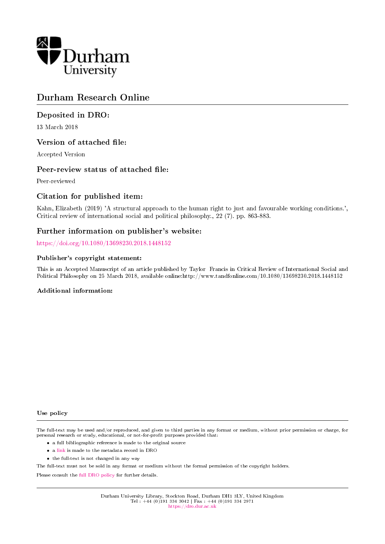

# Durham Research Online

# Deposited in DRO:

13 March 2018

# Version of attached file:

Accepted Version

# Peer-review status of attached file:

Peer-reviewed

# Citation for published item:

Kahn, Elizabeth (2019) 'A structural approach to the human right to just and favourable working conditions.', Critical review of international social and political philosophy., 22 (7). pp. 863-883.

# Further information on publisher's website:

<https://doi.org/10.1080/13698230.2018.1448152>

#### Publisher's copyright statement:

This is an Accepted Manuscript of an article published by Taylor Francis in Critical Review of International Social and Political Philosophy on 25 March 2018, available online:http://www.tandfonline.com/10.1080/13698230.2018.1448152

#### Additional information:

#### Use policy

The full-text may be used and/or reproduced, and given to third parties in any format or medium, without prior permission or charge, for personal research or study, educational, or not-for-profit purposes provided that:

- a full bibliographic reference is made to the original source
- a [link](http://dro.dur.ac.uk/24284/) is made to the metadata record in DRO
- the full-text is not changed in any way

The full-text must not be sold in any format or medium without the formal permission of the copyright holders.

Please consult the [full DRO policy](https://dro.dur.ac.uk/policies/usepolicy.pdf) for further details.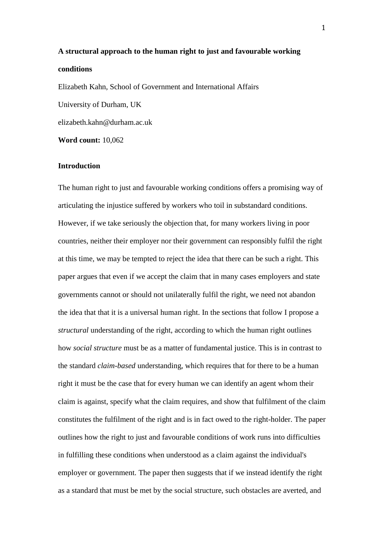# **A structural approach to the human right to just and favourable working conditions** Elizabeth Kahn, School of Government and International Affairs University of Durham, UK

elizabeth.kahn@durham.ac.uk

**Word count:** 10,062

# **Introduction**

The human right to just and favourable working conditions offers a promising way of articulating the injustice suffered by workers who toil in substandard conditions. However, if we take seriously the objection that, for many workers living in poor countries, neither their employer nor their government can responsibly fulfil the right at this time, we may be tempted to reject the idea that there can be such a right. This paper argues that even if we accept the claim that in many cases employers and state governments cannot or should not unilaterally fulfil the right, we need not abandon the idea that that it is a universal human right. In the sections that follow I propose a *structural* understanding of the right, according to which the human right outlines how *social structure* must be as a matter of fundamental justice. This is in contrast to the standard *claim-based* understanding, which requires that for there to be a human right it must be the case that for every human we can identify an agent whom their claim is against, specify what the claim requires, and show that fulfilment of the claim constitutes the fulfilment of the right and is in fact owed to the right-holder. The paper outlines how the right to just and favourable conditions of work runs into difficulties in fulfilling these conditions when understood as a claim against the individual's employer or government. The paper then suggests that if we instead identify the right as a standard that must be met by the social structure, such obstacles are averted, and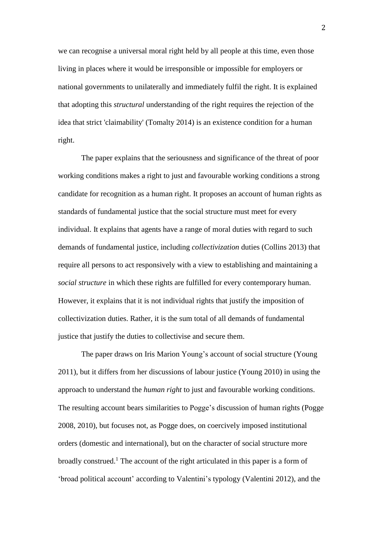we can recognise a universal moral right held by all people at this time, even those living in places where it would be irresponsible or impossible for employers or national governments to unilaterally and immediately fulfil the right. It is explained that adopting this *structural* understanding of the right requires the rejection of the idea that strict 'claimability' (Tomalty 2014) is an existence condition for a human right.

The paper explains that the seriousness and significance of the threat of poor working conditions makes a right to just and favourable working conditions a strong candidate for recognition as a human right. It proposes an account of human rights as standards of fundamental justice that the social structure must meet for every individual. It explains that agents have a range of moral duties with regard to such demands of fundamental justice, including *collectivization* duties (Collins 2013) that require all persons to act responsively with a view to establishing and maintaining a *social structure* in which these rights are fulfilled for every contemporary human. However, it explains that it is not individual rights that justify the imposition of collectivization duties. Rather, it is the sum total of all demands of fundamental justice that justify the duties to collectivise and secure them.

The paper draws on Iris Marion Young's account of social structure (Young 2011), but it differs from her discussions of labour justice (Young 2010) in using the approach to understand the *human right* to just and favourable working conditions. The resulting account bears similarities to Pogge's discussion of human rights (Pogge 2008, 2010), but focuses not, as Pogge does, on coercively imposed institutional orders (domestic and international), but on the character of social structure more broadly construed.<sup>1</sup> The account of the right articulated in this paper is a form of 'broad political account' according to Valentini's typology (Valentini 2012), and the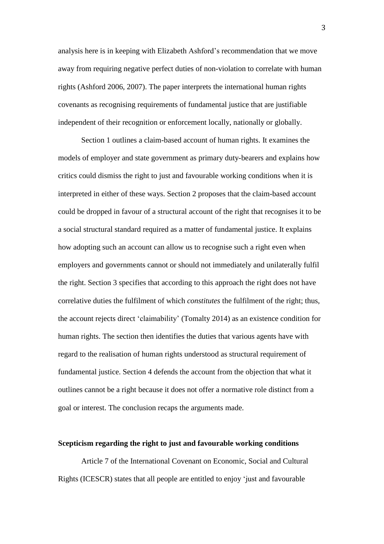analysis here is in keeping with Elizabeth Ashford's recommendation that we move away from requiring negative perfect duties of non-violation to correlate with human rights (Ashford 2006, 2007). The paper interprets the international human rights covenants as recognising requirements of fundamental justice that are justifiable independent of their recognition or enforcement locally, nationally or globally.

Section 1 outlines a claim-based account of human rights. It examines the models of employer and state government as primary duty-bearers and explains how critics could dismiss the right to just and favourable working conditions when it is interpreted in either of these ways. Section 2 proposes that the claim-based account could be dropped in favour of a structural account of the right that recognises it to be a social structural standard required as a matter of fundamental justice. It explains how adopting such an account can allow us to recognise such a right even when employers and governments cannot or should not immediately and unilaterally fulfil the right. Section 3 specifies that according to this approach the right does not have correlative duties the fulfilment of which *constitutes* the fulfilment of the right; thus, the account rejects direct 'claimability' (Tomalty 2014) as an existence condition for human rights. The section then identifies the duties that various agents have with regard to the realisation of human rights understood as structural requirement of fundamental justice. Section 4 defends the account from the objection that what it outlines cannot be a right because it does not offer a normative role distinct from a goal or interest. The conclusion recaps the arguments made.

# **Scepticism regarding the right to just and favourable working conditions**

Article 7 of the International Covenant on Economic, Social and Cultural Rights (ICESCR) states that all people are entitled to enjoy 'just and favourable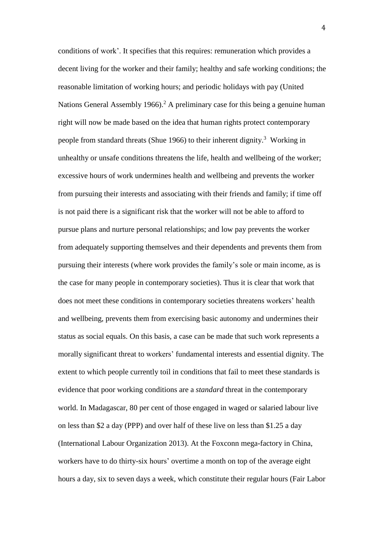conditions of work'. It specifies that this requires: remuneration which provides a decent living for the worker and their family; healthy and safe working conditions; the reasonable limitation of working hours; and periodic holidays with pay (United Nations General Assembly 1966).<sup>2</sup> A preliminary case for this being a genuine human right will now be made based on the idea that human rights protect contemporary people from standard threats (Shue 1966) to their inherent dignity.<sup>3</sup> Working in unhealthy or unsafe conditions threatens the life, health and wellbeing of the worker; excessive hours of work undermines health and wellbeing and prevents the worker from pursuing their interests and associating with their friends and family; if time off is not paid there is a significant risk that the worker will not be able to afford to pursue plans and nurture personal relationships; and low pay prevents the worker from adequately supporting themselves and their dependents and prevents them from pursuing their interests (where work provides the family's sole or main income, as is the case for many people in contemporary societies). Thus it is clear that work that does not meet these conditions in contemporary societies threatens workers' health and wellbeing, prevents them from exercising basic autonomy and undermines their status as social equals. On this basis, a case can be made that such work represents a morally significant threat to workers' fundamental interests and essential dignity. The extent to which people currently toil in conditions that fail to meet these standards is evidence that poor working conditions are a *standard* threat in the contemporary world. In Madagascar, 80 per cent of those engaged in waged or salaried labour live on less than \$2 a day (PPP) and over half of these live on less than \$1.25 a day (International Labour Organization 2013). At the Foxconn mega-factory in China, workers have to do thirty-six hours' overtime a month on top of the average eight hours a day, six to seven days a week, which constitute their regular hours (Fair Labor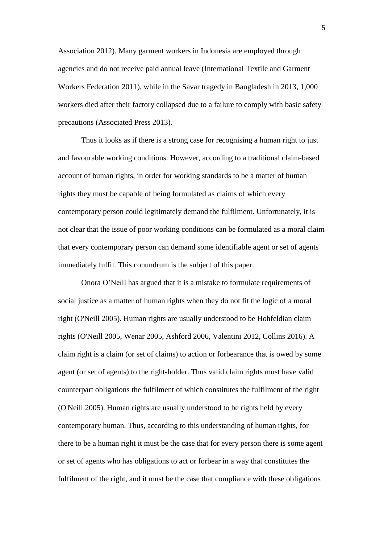Association 2012). Many garment workers in Indonesia are employed through agencies and do not receive paid annual leave (International Textile and Garment Workers Federation 2011), while in the Savar tragedy in Bangladesh in 2013, 1,000 workers died after their factory collapsed due to a failure to comply with basic safety precautions (Associated Press 2013).

Thus it looks as if there is a strong case for recognising a human right to just and favourable working conditions. However, according to a traditional claim-based account of human rights, in order for working standards to be a matter of human rights they must be capable of being formulated as claims of which every contemporary person could legitimately demand the fulfilment. Unfortunately, it is not clear that the issue of poor working conditions can be formulated as a moral claim that every contemporary person can demand some identifiable agent or set of agents immediately fulfil. This conundrum is the subject of this paper.

Onora O'Neill has argued that it is a mistake to formulate requirements of social justice as a matter of human rights when they do not fit the logic of a moral right (O'Neill 2005). Human rights are usually understood to be Hohfeldian claim rights (O'Neill 2005, Wenar 2005, Ashford 2006, Valentini 2012, Collins 2016). A claim right is a claim (or set of claims) to action or forbearance that is owed by some agent (or set of agents) to the right-holder. Thus valid claim rights must have valid counterpart obligations the fulfilment of which constitutes the fulfilment of the right (O'Neill 2005). Human rights are usually understood to be rights held by every contemporary human. Thus, according to this understanding of human rights, for there to be a human right it must be the case that for every person there is some agent or set of agents who has obligations to act or forbear in a way that constitutes the fulfilment of the right, and it must be the case that compliance with these obligations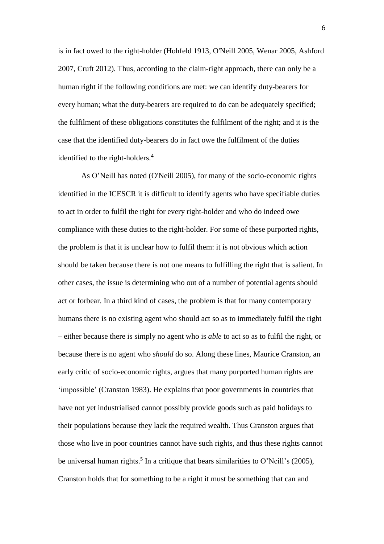is in fact owed to the right-holder (Hohfeld 1913, O'Neill 2005, Wenar 2005, Ashford 2007, Cruft 2012). Thus, according to the claim-right approach, there can only be a human right if the following conditions are met: we can identify duty-bearers for every human; what the duty-bearers are required to do can be adequately specified; the fulfilment of these obligations constitutes the fulfilment of the right; and it is the case that the identified duty-bearers do in fact owe the fulfilment of the duties identified to the right-holders. 4

As O'Neill has noted (O'Neill 2005), for many of the socio-economic rights identified in the ICESCR it is difficult to identify agents who have specifiable duties to act in order to fulfil the right for every right-holder and who do indeed owe compliance with these duties to the right-holder. For some of these purported rights, the problem is that it is unclear how to fulfil them: it is not obvious which action should be taken because there is not one means to fulfilling the right that is salient. In other cases, the issue is determining who out of a number of potential agents should act or forbear. In a third kind of cases, the problem is that for many contemporary humans there is no existing agent who should act so as to immediately fulfil the right – either because there is simply no agent who is *able* to act so as to fulfil the right, or because there is no agent who *should* do so. Along these lines, Maurice Cranston, an early critic of socio-economic rights, argues that many purported human rights are 'impossible' (Cranston 1983). He explains that poor governments in countries that have not yet industrialised cannot possibly provide goods such as paid holidays to their populations because they lack the required wealth. Thus Cranston argues that those who live in poor countries cannot have such rights, and thus these rights cannot be universal human rights.<sup>5</sup> In a critique that bears similarities to O'Neill's (2005), Cranston holds that for something to be a right it must be something that can and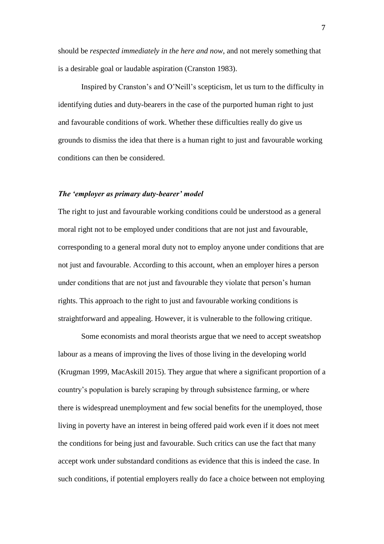should be *respected immediately in the here and now*, and not merely something that is a desirable goal or laudable aspiration (Cranston 1983).

Inspired by Cranston's and O'Neill's scepticism, let us turn to the difficulty in identifying duties and duty-bearers in the case of the purported human right to just and favourable conditions of work. Whether these difficulties really do give us grounds to dismiss the idea that there is a human right to just and favourable working conditions can then be considered.

#### *The 'employer as primary duty-bearer' model*

The right to just and favourable working conditions could be understood as a general moral right not to be employed under conditions that are not just and favourable, corresponding to a general moral duty not to employ anyone under conditions that are not just and favourable. According to this account, when an employer hires a person under conditions that are not just and favourable they violate that person's human rights. This approach to the right to just and favourable working conditions is straightforward and appealing. However, it is vulnerable to the following critique.

Some economists and moral theorists argue that we need to accept sweatshop labour as a means of improving the lives of those living in the developing world (Krugman 1999, MacAskill 2015). They argue that where a significant proportion of a country's population is barely scraping by through subsistence farming, or where there is widespread unemployment and few social benefits for the unemployed, those living in poverty have an interest in being offered paid work even if it does not meet the conditions for being just and favourable. Such critics can use the fact that many accept work under substandard conditions as evidence that this is indeed the case. In such conditions, if potential employers really do face a choice between not employing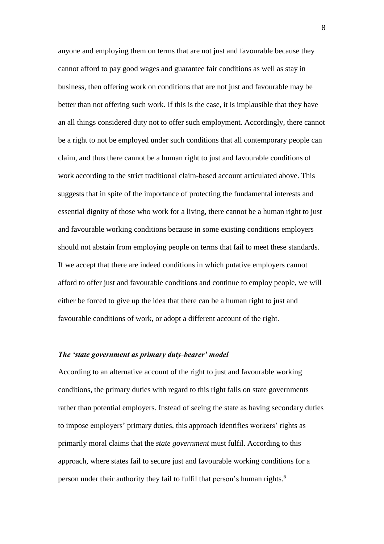anyone and employing them on terms that are not just and favourable because they cannot afford to pay good wages and guarantee fair conditions as well as stay in business, then offering work on conditions that are not just and favourable may be better than not offering such work. If this is the case, it is implausible that they have an all things considered duty not to offer such employment. Accordingly, there cannot be a right to not be employed under such conditions that all contemporary people can claim, and thus there cannot be a human right to just and favourable conditions of work according to the strict traditional claim-based account articulated above. This suggests that in spite of the importance of protecting the fundamental interests and essential dignity of those who work for a living, there cannot be a human right to just and favourable working conditions because in some existing conditions employers should not abstain from employing people on terms that fail to meet these standards. If we accept that there are indeed conditions in which putative employers cannot afford to offer just and favourable conditions and continue to employ people, we will either be forced to give up the idea that there can be a human right to just and favourable conditions of work, or adopt a different account of the right.

#### *The 'state government as primary duty-bearer' model*

According to an alternative account of the right to just and favourable working conditions, the primary duties with regard to this right falls on state governments rather than potential employers. Instead of seeing the state as having secondary duties to impose employers' primary duties, this approach identifies workers' rights as primarily moral claims that the *state government* must fulfil. According to this approach, where states fail to secure just and favourable working conditions for a person under their authority they fail to fulfil that person's human rights.<sup>6</sup>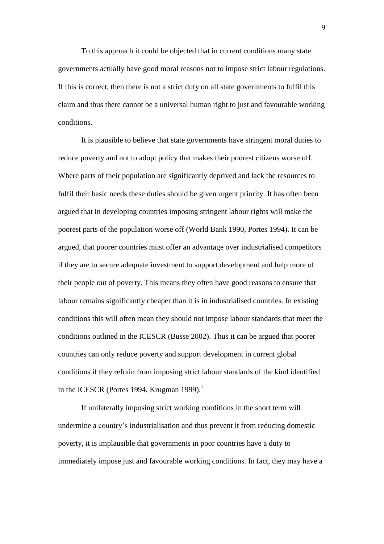To this approach it could be objected that in current conditions many state governments actually have good moral reasons not to impose strict labour regulations. If this is correct, then there is not a strict duty on all state governments to fulfil this claim and thus there cannot be a universal human right to just and favourable working conditions.

It is plausible to believe that state governments have stringent moral duties to reduce poverty and not to adopt policy that makes their poorest citizens worse off. Where parts of their population are significantly deprived and lack the resources to fulfil their basic needs these duties should be given urgent priority. It has often been argued that in developing countries imposing stringent labour rights will make the poorest parts of the population worse off (World Bank 1990, Portes 1994). It can be argued, that poorer countries must offer an advantage over industrialised competitors if they are to secure adequate investment to support development and help more of their people out of poverty. This means they often have good reasons to ensure that labour remains significantly cheaper than it is in industrialised countries. In existing conditions this will often mean they should not impose labour standards that meet the conditions outlined in the ICESCR (Busse 2002). Thus it can be argued that poorer countries can only reduce poverty and support development in current global conditions if they refrain from imposing strict labour standards of the kind identified in the ICESCR (Portes 1994, Krugman 1999).<sup>7</sup>

If unilaterally imposing strict working conditions in the short term will undermine a country's industrialisation and thus prevent it from reducing domestic poverty, it is implausible that governments in poor countries have a duty to immediately impose just and favourable working conditions. In fact, they may have a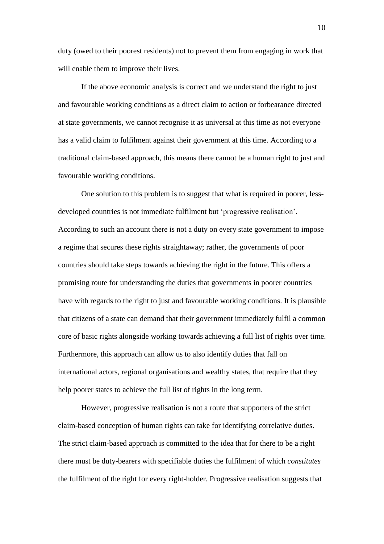duty (owed to their poorest residents) not to prevent them from engaging in work that will enable them to improve their lives.

If the above economic analysis is correct and we understand the right to just and favourable working conditions as a direct claim to action or forbearance directed at state governments, we cannot recognise it as universal at this time as not everyone has a valid claim to fulfilment against their government at this time. According to a traditional claim-based approach, this means there cannot be a human right to just and favourable working conditions.

One solution to this problem is to suggest that what is required in poorer, lessdeveloped countries is not immediate fulfilment but 'progressive realisation'. According to such an account there is not a duty on every state government to impose a regime that secures these rights straightaway; rather, the governments of poor countries should take steps towards achieving the right in the future. This offers a promising route for understanding the duties that governments in poorer countries have with regards to the right to just and favourable working conditions. It is plausible that citizens of a state can demand that their government immediately fulfil a common core of basic rights alongside working towards achieving a full list of rights over time. Furthermore, this approach can allow us to also identify duties that fall on international actors, regional organisations and wealthy states, that require that they help poorer states to achieve the full list of rights in the long term.

However, progressive realisation is not a route that supporters of the strict claim-based conception of human rights can take for identifying correlative duties. The strict claim-based approach is committed to the idea that for there to be a right there must be duty-bearers with specifiable duties the fulfilment of which *constitutes* the fulfilment of the right for every right-holder. Progressive realisation suggests that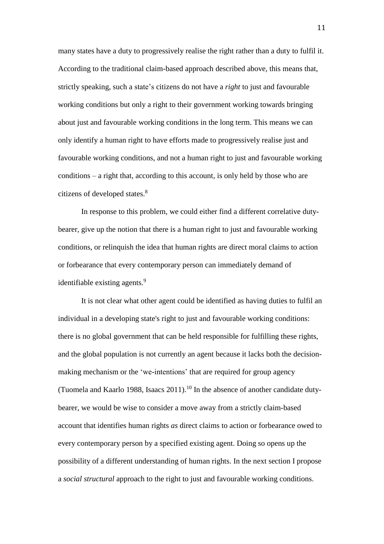many states have a duty to progressively realise the right rather than a duty to fulfil it. According to the traditional claim-based approach described above, this means that, strictly speaking, such a state's citizens do not have a *right* to just and favourable working conditions but only a right to their government working towards bringing about just and favourable working conditions in the long term. This means we can only identify a human right to have efforts made to progressively realise just and favourable working conditions, and not a human right to just and favourable working conditions – a right that, according to this account, is only held by those who are citizens of developed states.<sup>8</sup>

In response to this problem, we could either find a different correlative dutybearer, give up the notion that there is a human right to just and favourable working conditions, or relinquish the idea that human rights are direct moral claims to action or forbearance that every contemporary person can immediately demand of identifiable existing agents.<sup>9</sup>

It is not clear what other agent could be identified as having duties to fulfil an individual in a developing state's right to just and favourable working conditions: there is no global government that can be held responsible for fulfilling these rights, and the global population is not currently an agent because it lacks both the decisionmaking mechanism or the 'we-intentions' that are required for group agency (Tuomela and Kaarlo 1988, Isaacs  $2011$ ).<sup>10</sup> In the absence of another candidate dutybearer, we would be wise to consider a move away from a strictly claim-based account that identifies human rights *as* direct claims to action or forbearance owed to every contemporary person by a specified existing agent. Doing so opens up the possibility of a different understanding of human rights. In the next section I propose a *social structural* approach to the right to just and favourable working conditions.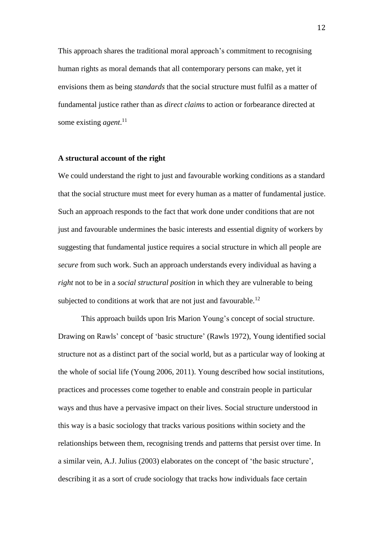This approach shares the traditional moral approach's commitment to recognising human rights as moral demands that all contemporary persons can make, yet it envisions them as being *standards* that the social structure must fulfil as a matter of fundamental justice rather than as *direct claims* to action or forbearance directed at some existing *agent*. 11

#### **A structural account of the right**

We could understand the right to just and favourable working conditions as a standard that the social structure must meet for every human as a matter of fundamental justice. Such an approach responds to the fact that work done under conditions that are not just and favourable undermines the basic interests and essential dignity of workers by suggesting that fundamental justice requires a social structure in which all people are *secure* from such work. Such an approach understands every individual as having a *right* not to be in a *social structural position* in which they are vulnerable to being subjected to conditions at work that are not just and favourable.<sup>12</sup>

This approach builds upon Iris Marion Young's concept of social structure. Drawing on Rawls' concept of 'basic structure' (Rawls 1972), Young identified social structure not as a distinct part of the social world, but as a particular way of looking at the whole of social life (Young 2006, 2011). Young described how social institutions, practices and processes come together to enable and constrain people in particular ways and thus have a pervasive impact on their lives. Social structure understood in this way is a basic sociology that tracks various positions within society and the relationships between them, recognising trends and patterns that persist over time. In a similar vein, A.J. Julius (2003) elaborates on the concept of 'the basic structure', describing it as a sort of crude sociology that tracks how individuals face certain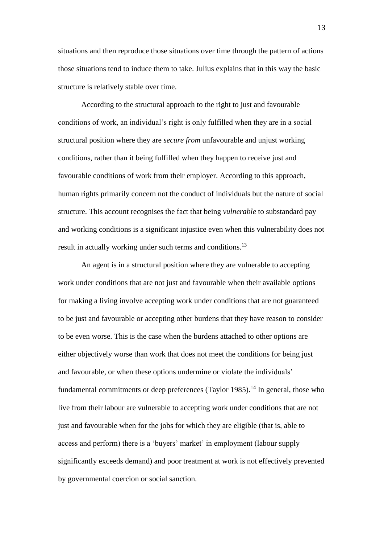situations and then reproduce those situations over time through the pattern of actions those situations tend to induce them to take. Julius explains that in this way the basic structure is relatively stable over time.

According to the structural approach to the right to just and favourable conditions of work, an individual's right is only fulfilled when they are in a social structural position where they are *secure from* unfavourable and unjust working conditions, rather than it being fulfilled when they happen to receive just and favourable conditions of work from their employer. According to this approach, human rights primarily concern not the conduct of individuals but the nature of social structure. This account recognises the fact that being *vulnerable* to substandard pay and working conditions is a significant injustice even when this vulnerability does not result in actually working under such terms and conditions.<sup>13</sup>

An agent is in a structural position where they are vulnerable to accepting work under conditions that are not just and favourable when their available options for making a living involve accepting work under conditions that are not guaranteed to be just and favourable or accepting other burdens that they have reason to consider to be even worse. This is the case when the burdens attached to other options are either objectively worse than work that does not meet the conditions for being just and favourable, or when these options undermine or violate the individuals' fundamental commitments or deep preferences (Taylor 1985).<sup>14</sup> In general, those who live from their labour are vulnerable to accepting work under conditions that are not just and favourable when for the jobs for which they are eligible (that is, able to access and perform) there is a 'buyers' market' in employment (labour supply significantly exceeds demand) and poor treatment at work is not effectively prevented by governmental coercion or social sanction.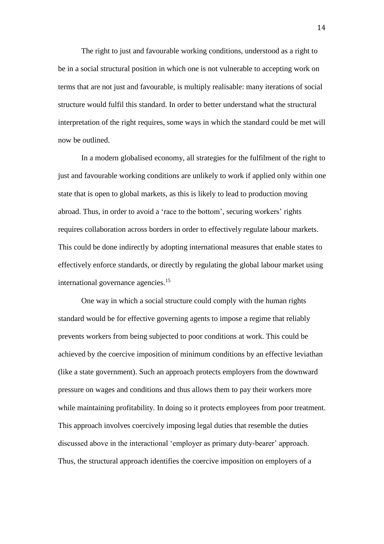The right to just and favourable working conditions, understood as a right to be in a social structural position in which one is not vulnerable to accepting work on terms that are not just and favourable, is multiply realisable: many iterations of social structure would fulfil this standard. In order to better understand what the structural interpretation of the right requires, some ways in which the standard could be met will now be outlined.

In a modern globalised economy, all strategies for the fulfilment of the right to just and favourable working conditions are unlikely to work if applied only within one state that is open to global markets, as this is likely to lead to production moving abroad. Thus, in order to avoid a 'race to the bottom', securing workers' rights requires collaboration across borders in order to effectively regulate labour markets. This could be done indirectly by adopting international measures that enable states to effectively enforce standards, or directly by regulating the global labour market using international governance agencies.<sup>15</sup>

One way in which a social structure could comply with the human rights standard would be for effective governing agents to impose a regime that reliably prevents workers from being subjected to poor conditions at work. This could be achieved by the coercive imposition of minimum conditions by an effective leviathan (like a state government). Such an approach protects employers from the downward pressure on wages and conditions and thus allows them to pay their workers more while maintaining profitability. In doing so it protects employees from poor treatment. This approach involves coercively imposing legal duties that resemble the duties discussed above in the interactional 'employer as primary duty-bearer' approach. Thus, the structural approach identifies the coercive imposition on employers of a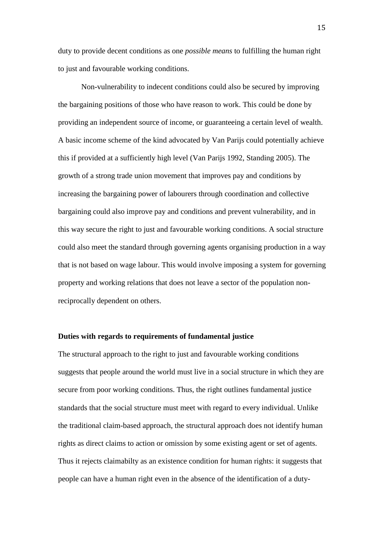duty to provide decent conditions as one *possible means* to fulfilling the human right to just and favourable working conditions.

Non-vulnerability to indecent conditions could also be secured by improving the bargaining positions of those who have reason to work. This could be done by providing an independent source of income, or guaranteeing a certain level of wealth. A basic income scheme of the kind advocated by Van Parijs could potentially achieve this if provided at a sufficiently high level (Van Parijs 1992, Standing 2005). The growth of a strong trade union movement that improves pay and conditions by increasing the bargaining power of labourers through coordination and collective bargaining could also improve pay and conditions and prevent vulnerability, and in this way secure the right to just and favourable working conditions. A social structure could also meet the standard through governing agents organising production in a way that is not based on wage labour. This would involve imposing a system for governing property and working relations that does not leave a sector of the population nonreciprocally dependent on others.

#### **Duties with regards to requirements of fundamental justice**

The structural approach to the right to just and favourable working conditions suggests that people around the world must live in a social structure in which they are secure from poor working conditions. Thus, the right outlines fundamental justice standards that the social structure must meet with regard to every individual. Unlike the traditional claim-based approach, the structural approach does not identify human rights as direct claims to action or omission by some existing agent or set of agents. Thus it rejects claimabilty as an existence condition for human rights: it suggests that people can have a human right even in the absence of the identification of a duty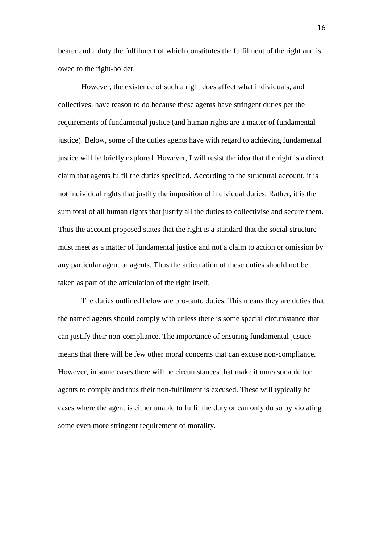bearer and a duty the fulfilment of which constitutes the fulfilment of the right and is owed to the right-holder.

However, the existence of such a right does affect what individuals, and collectives, have reason to do because these agents have stringent duties per the requirements of fundamental justice (and human rights are a matter of fundamental justice). Below, some of the duties agents have with regard to achieving fundamental justice will be briefly explored. However, I will resist the idea that the right is a direct claim that agents fulfil the duties specified. According to the structural account, it is not individual rights that justify the imposition of individual duties. Rather, it is the sum total of all human rights that justify all the duties to collectivise and secure them. Thus the account proposed states that the right is a standard that the social structure must meet as a matter of fundamental justice and not a claim to action or omission by any particular agent or agents. Thus the articulation of these duties should not be taken as part of the articulation of the right itself.

The duties outlined below are pro-tanto duties. This means they are duties that the named agents should comply with unless there is some special circumstance that can justify their non-compliance. The importance of ensuring fundamental justice means that there will be few other moral concerns that can excuse non-compliance. However, in some cases there will be circumstances that make it unreasonable for agents to comply and thus their non-fulfilment is excused. These will typically be cases where the agent is either unable to fulfil the duty or can only do so by violating some even more stringent requirement of morality.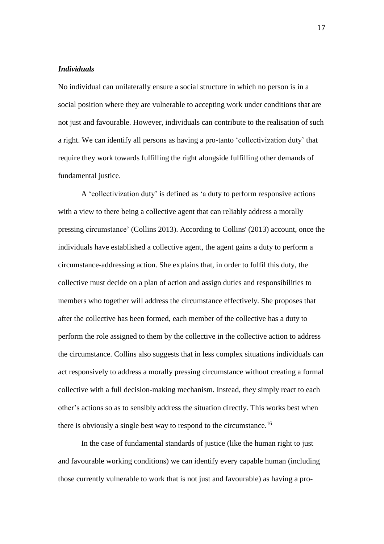# *Individuals*

No individual can unilaterally ensure a social structure in which no person is in a social position where they are vulnerable to accepting work under conditions that are not just and favourable. However, individuals can contribute to the realisation of such a right. We can identify all persons as having a pro-tanto 'collectivization duty' that require they work towards fulfilling the right alongside fulfilling other demands of fundamental justice.

A 'collectivization duty' is defined as 'a duty to perform responsive actions with a view to there being a collective agent that can reliably address a morally pressing circumstance' (Collins 2013). According to Collins' (2013) account, once the individuals have established a collective agent, the agent gains a duty to perform a circumstance-addressing action. She explains that, in order to fulfil this duty, the collective must decide on a plan of action and assign duties and responsibilities to members who together will address the circumstance effectively. She proposes that after the collective has been formed, each member of the collective has a duty to perform the role assigned to them by the collective in the collective action to address the circumstance. Collins also suggests that in less complex situations individuals can act responsively to address a morally pressing circumstance without creating a formal collective with a full decision-making mechanism. Instead, they simply react to each other's actions so as to sensibly address the situation directly. This works best when there is obviously a single best way to respond to the circumstance.<sup>16</sup>

In the case of fundamental standards of justice (like the human right to just and favourable working conditions) we can identify every capable human (including those currently vulnerable to work that is not just and favourable) as having a pro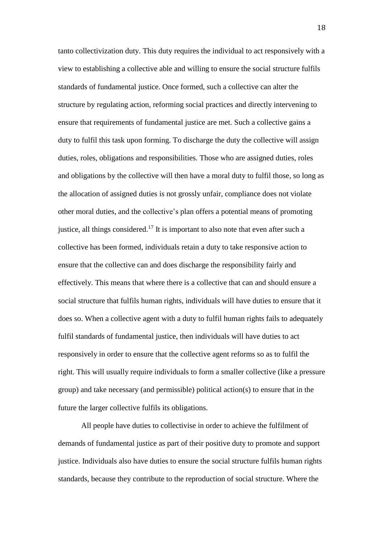tanto collectivization duty. This duty requires the individual to act responsively with a view to establishing a collective able and willing to ensure the social structure fulfils standards of fundamental justice. Once formed, such a collective can alter the structure by regulating action, reforming social practices and directly intervening to ensure that requirements of fundamental justice are met. Such a collective gains a duty to fulfil this task upon forming. To discharge the duty the collective will assign duties, roles, obligations and responsibilities. Those who are assigned duties, roles and obligations by the collective will then have a moral duty to fulfil those, so long as the allocation of assigned duties is not grossly unfair, compliance does not violate other moral duties, and the collective's plan offers a potential means of promoting justice, all things considered.<sup>17</sup> It is important to also note that even after such a collective has been formed, individuals retain a duty to take responsive action to ensure that the collective can and does discharge the responsibility fairly and effectively. This means that where there is a collective that can and should ensure a social structure that fulfils human rights, individuals will have duties to ensure that it does so. When a collective agent with a duty to fulfil human rights fails to adequately fulfil standards of fundamental justice, then individuals will have duties to act responsively in order to ensure that the collective agent reforms so as to fulfil the right. This will usually require individuals to form a smaller collective (like a pressure group) and take necessary (and permissible) political action(s) to ensure that in the future the larger collective fulfils its obligations.

All people have duties to collectivise in order to achieve the fulfilment of demands of fundamental justice as part of their positive duty to promote and support justice. Individuals also have duties to ensure the social structure fulfils human rights standards, because they contribute to the reproduction of social structure. Where the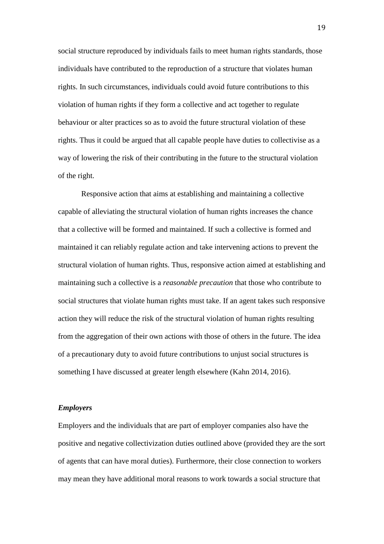social structure reproduced by individuals fails to meet human rights standards, those individuals have contributed to the reproduction of a structure that violates human rights. In such circumstances, individuals could avoid future contributions to this violation of human rights if they form a collective and act together to regulate behaviour or alter practices so as to avoid the future structural violation of these rights. Thus it could be argued that all capable people have duties to collectivise as a way of lowering the risk of their contributing in the future to the structural violation of the right.

Responsive action that aims at establishing and maintaining a collective capable of alleviating the structural violation of human rights increases the chance that a collective will be formed and maintained. If such a collective is formed and maintained it can reliably regulate action and take intervening actions to prevent the structural violation of human rights. Thus, responsive action aimed at establishing and maintaining such a collective is a *reasonable precaution* that those who contribute to social structures that violate human rights must take. If an agent takes such responsive action they will reduce the risk of the structural violation of human rights resulting from the aggregation of their own actions with those of others in the future. The idea of a precautionary duty to avoid future contributions to unjust social structures is something I have discussed at greater length elsewhere (Kahn 2014, 2016).

#### *Employers*

Employers and the individuals that are part of employer companies also have the positive and negative collectivization duties outlined above (provided they are the sort of agents that can have moral duties). Furthermore, their close connection to workers may mean they have additional moral reasons to work towards a social structure that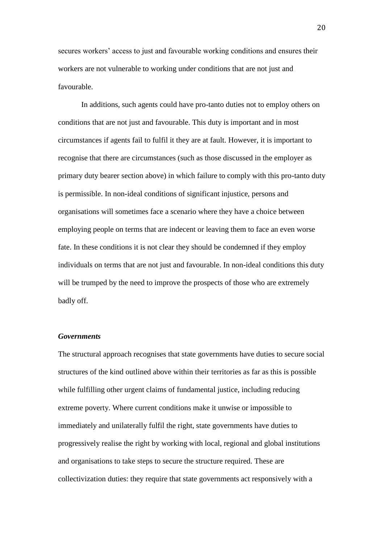secures workers' access to just and favourable working conditions and ensures their workers are not vulnerable to working under conditions that are not just and favourable.

In additions, such agents could have pro-tanto duties not to employ others on conditions that are not just and favourable. This duty is important and in most circumstances if agents fail to fulfil it they are at fault. However, it is important to recognise that there are circumstances (such as those discussed in the employer as primary duty bearer section above) in which failure to comply with this pro-tanto duty is permissible. In non-ideal conditions of significant injustice, persons and organisations will sometimes face a scenario where they have a choice between employing people on terms that are indecent or leaving them to face an even worse fate. In these conditions it is not clear they should be condemned if they employ individuals on terms that are not just and favourable. In non-ideal conditions this duty will be trumped by the need to improve the prospects of those who are extremely badly off.

# *Governments*

The structural approach recognises that state governments have duties to secure social structures of the kind outlined above within their territories as far as this is possible while fulfilling other urgent claims of fundamental justice, including reducing extreme poverty. Where current conditions make it unwise or impossible to immediately and unilaterally fulfil the right, state governments have duties to progressively realise the right by working with local, regional and global institutions and organisations to take steps to secure the structure required. These are collectivization duties: they require that state governments act responsively with a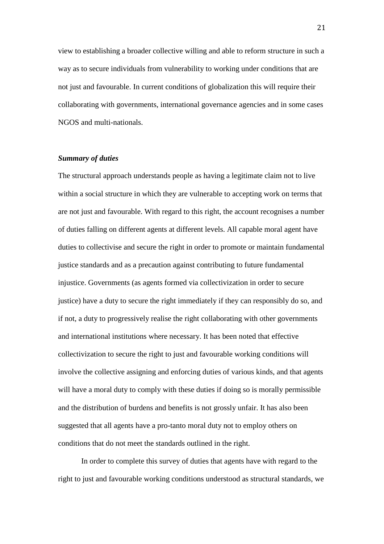view to establishing a broader collective willing and able to reform structure in such a way as to secure individuals from vulnerability to working under conditions that are not just and favourable. In current conditions of globalization this will require their collaborating with governments, international governance agencies and in some cases NGOS and multi-nationals.

#### *Summary of duties*

The structural approach understands people as having a legitimate claim not to live within a social structure in which they are vulnerable to accepting work on terms that are not just and favourable. With regard to this right, the account recognises a number of duties falling on different agents at different levels. All capable moral agent have duties to collectivise and secure the right in order to promote or maintain fundamental justice standards and as a precaution against contributing to future fundamental injustice. Governments (as agents formed via collectivization in order to secure justice) have a duty to secure the right immediately if they can responsibly do so, and if not, a duty to progressively realise the right collaborating with other governments and international institutions where necessary. It has been noted that effective collectivization to secure the right to just and favourable working conditions will involve the collective assigning and enforcing duties of various kinds, and that agents will have a moral duty to comply with these duties if doing so is morally permissible and the distribution of burdens and benefits is not grossly unfair. It has also been suggested that all agents have a pro-tanto moral duty not to employ others on conditions that do not meet the standards outlined in the right.

In order to complete this survey of duties that agents have with regard to the right to just and favourable working conditions understood as structural standards, we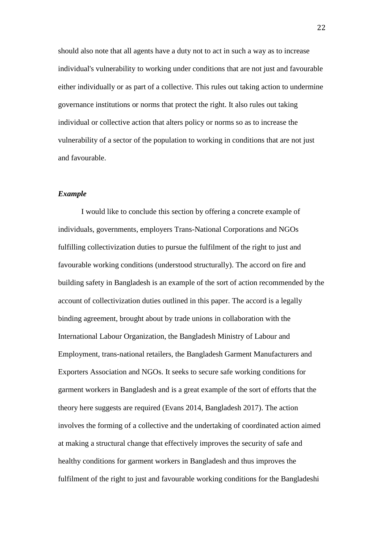should also note that all agents have a duty not to act in such a way as to increase individual's vulnerability to working under conditions that are not just and favourable either individually or as part of a collective. This rules out taking action to undermine governance institutions or norms that protect the right. It also rules out taking individual or collective action that alters policy or norms so as to increase the vulnerability of a sector of the population to working in conditions that are not just and favourable.

#### *Example*

I would like to conclude this section by offering a concrete example of individuals, governments, employers Trans-National Corporations and NGOs fulfilling collectivization duties to pursue the fulfilment of the right to just and favourable working conditions (understood structurally). The accord on fire and building safety in Bangladesh is an example of the sort of action recommended by the account of collectivization duties outlined in this paper. The accord is a legally binding agreement, brought about by trade unions in collaboration with the International Labour Organization, the Bangladesh Ministry of Labour and Employment, trans-national retailers, the Bangladesh Garment Manufacturers and Exporters Association and NGOs. It seeks to secure safe working conditions for garment workers in Bangladesh and is a great example of the sort of efforts that the theory here suggests are required (Evans 2014, Bangladesh 2017). The action involves the forming of a collective and the undertaking of coordinated action aimed at making a structural change that effectively improves the security of safe and healthy conditions for garment workers in Bangladesh and thus improves the fulfilment of the right to just and favourable working conditions for the Bangladeshi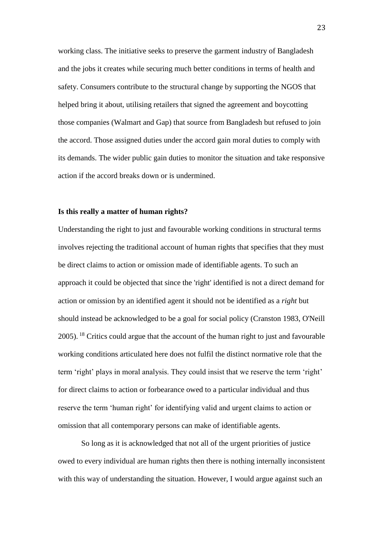working class. The initiative seeks to preserve the garment industry of Bangladesh and the jobs it creates while securing much better conditions in terms of health and safety. Consumers contribute to the structural change by supporting the NGOS that helped bring it about, utilising retailers that signed the agreement and boycotting those companies (Walmart and Gap) that source from Bangladesh but refused to join the accord. Those assigned duties under the accord gain moral duties to comply with its demands. The wider public gain duties to monitor the situation and take responsive action if the accord breaks down or is undermined.

#### **Is this really a matter of human rights?**

Understanding the right to just and favourable working conditions in structural terms involves rejecting the traditional account of human rights that specifies that they must be direct claims to action or omission made of identifiable agents. To such an approach it could be objected that since the 'right' identified is not a direct demand for action or omission by an identified agent it should not be identified as a *right* but should instead be acknowledged to be a goal for social policy (Cranston 1983, O'Neill 2005). <sup>18</sup> Critics could argue that the account of the human right to just and favourable working conditions articulated here does not fulfil the distinct normative role that the term 'right' plays in moral analysis. They could insist that we reserve the term 'right' for direct claims to action or forbearance owed to a particular individual and thus reserve the term 'human right' for identifying valid and urgent claims to action or omission that all contemporary persons can make of identifiable agents.

So long as it is acknowledged that not all of the urgent priorities of justice owed to every individual are human rights then there is nothing internally inconsistent with this way of understanding the situation. However, I would argue against such an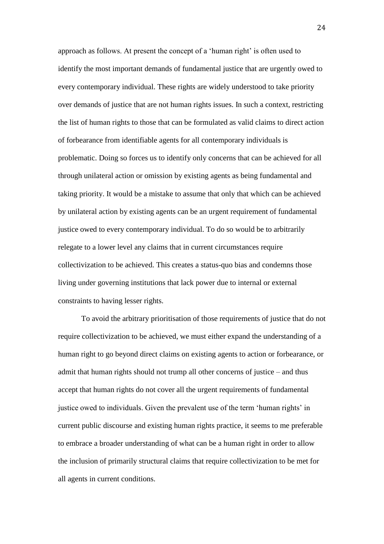approach as follows. At present the concept of a 'human right' is often used to identify the most important demands of fundamental justice that are urgently owed to every contemporary individual. These rights are widely understood to take priority over demands of justice that are not human rights issues. In such a context, restricting the list of human rights to those that can be formulated as valid claims to direct action of forbearance from identifiable agents for all contemporary individuals is problematic. Doing so forces us to identify only concerns that can be achieved for all through unilateral action or omission by existing agents as being fundamental and taking priority. It would be a mistake to assume that only that which can be achieved by unilateral action by existing agents can be an urgent requirement of fundamental justice owed to every contemporary individual. To do so would be to arbitrarily relegate to a lower level any claims that in current circumstances require collectivization to be achieved. This creates a status-quo bias and condemns those living under governing institutions that lack power due to internal or external constraints to having lesser rights.

To avoid the arbitrary prioritisation of those requirements of justice that do not require collectivization to be achieved, we must either expand the understanding of a human right to go beyond direct claims on existing agents to action or forbearance, or admit that human rights should not trump all other concerns of justice – and thus accept that human rights do not cover all the urgent requirements of fundamental justice owed to individuals. Given the prevalent use of the term 'human rights' in current public discourse and existing human rights practice, it seems to me preferable to embrace a broader understanding of what can be a human right in order to allow the inclusion of primarily structural claims that require collectivization to be met for all agents in current conditions.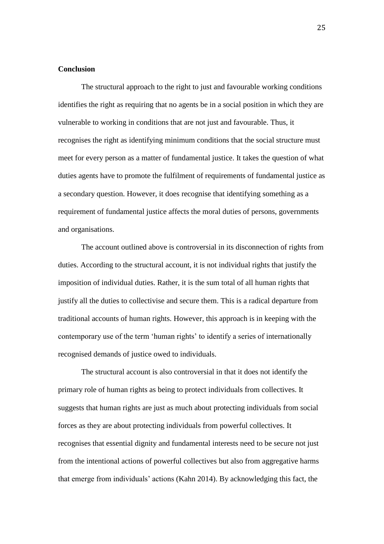# **Conclusion**

The structural approach to the right to just and favourable working conditions identifies the right as requiring that no agents be in a social position in which they are vulnerable to working in conditions that are not just and favourable. Thus, it recognises the right as identifying minimum conditions that the social structure must meet for every person as a matter of fundamental justice. It takes the question of what duties agents have to promote the fulfilment of requirements of fundamental justice as a secondary question. However, it does recognise that identifying something as a requirement of fundamental justice affects the moral duties of persons, governments and organisations.

The account outlined above is controversial in its disconnection of rights from duties. According to the structural account, it is not individual rights that justify the imposition of individual duties. Rather, it is the sum total of all human rights that justify all the duties to collectivise and secure them. This is a radical departure from traditional accounts of human rights. However, this approach is in keeping with the contemporary use of the term 'human rights' to identify a series of internationally recognised demands of justice owed to individuals.

The structural account is also controversial in that it does not identify the primary role of human rights as being to protect individuals from collectives. It suggests that human rights are just as much about protecting individuals from social forces as they are about protecting individuals from powerful collectives. It recognises that essential dignity and fundamental interests need to be secure not just from the intentional actions of powerful collectives but also from aggregative harms that emerge from individuals' actions (Kahn 2014). By acknowledging this fact, the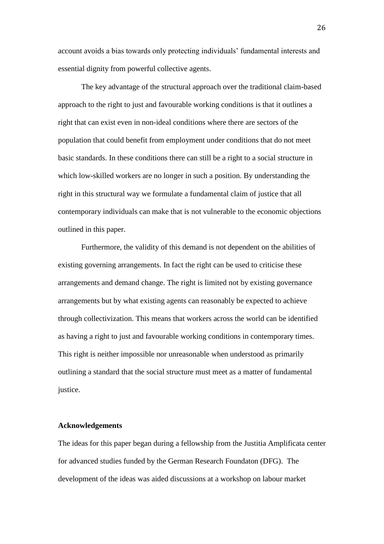account avoids a bias towards only protecting individuals' fundamental interests and essential dignity from powerful collective agents.

The key advantage of the structural approach over the traditional claim-based approach to the right to just and favourable working conditions is that it outlines a right that can exist even in non-ideal conditions where there are sectors of the population that could benefit from employment under conditions that do not meet basic standards. In these conditions there can still be a right to a social structure in which low-skilled workers are no longer in such a position. By understanding the right in this structural way we formulate a fundamental claim of justice that all contemporary individuals can make that is not vulnerable to the economic objections outlined in this paper.

Furthermore, the validity of this demand is not dependent on the abilities of existing governing arrangements. In fact the right can be used to criticise these arrangements and demand change. The right is limited not by existing governance arrangements but by what existing agents can reasonably be expected to achieve through collectivization. This means that workers across the world can be identified as having a right to just and favourable working conditions in contemporary times. This right is neither impossible nor unreasonable when understood as primarily outlining a standard that the social structure must meet as a matter of fundamental justice.

#### **Acknowledgements**

The ideas for this paper began during a fellowship from the Justitia Amplificata center for advanced studies funded by the German Research Foundaton (DFG). The development of the ideas was aided discussions at a workshop on labour market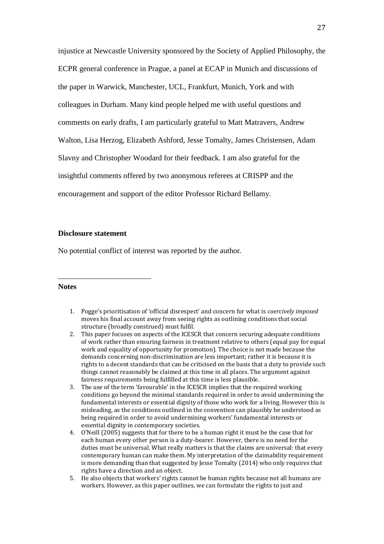injustice at Newcastle University sponsored by the Society of Applied Philosophy, the ECPR general conference in Prague, a panel at ECAP in Munich and discussions of the paper in Warwick, Manchester, UCL, Frankfurt, Munich, York and with colleagues in Durham. Many kind people helped me with useful questions and comments on early drafts, I am particularly grateful to Matt Matravers, Andrew Walton, Lisa Herzog, Elizabeth Ashford, Jesse Tomalty, James Christensen, Adam Slavny and Christopher Woodard for their feedback. I am also grateful for the insightful comments offered by two anonymous referees at CRISPP and the encouragement and support of the editor Professor Richard Bellamy.

#### **Disclosure statement**

No potential conflict of interest was reported by the author.

#### **Notes**

 $\overline{a}$ 

- 1. Pogge's prioritisation of 'official disrespect' and concern for what is *coercively imposed* moves his final account away from seeing rights as outlining conditions that social structure (broadly construed) must fulfil.
- 2. This paper focuses on aspects of the ICESCR that concern securing adequate conditions of work rather than ensuring fairness in treatment relative to others (equal pay for equal work and equality of opportunity for promotion). The choice is not made because the demands concerning non-discrimination are less important; rather it is because it is rights to a decent standards that can be criticised on the basis that a duty to provide such things cannot reasonably be claimed at this time in all places. The argument against fairness requirements being fulfilled at this time is less plausible.
- 3. The use of the term 'favourable' in the ICESCR implies that the required working conditions go beyond the minimal standards required in order to avoid undermining the fundamental interests or essential dignity of those who work for a living. However this is misleading, as the conditions outlined in the convention can plausibly be understood as being required in order to avoid undermining workers' fundamental interests or essential dignity in contemporary societies.
- 4. O'Neill (2005) suggests that for there to be a human right it must be the case that for each human every other person is a duty-bearer. However, there is no need for the duties must be universal. What really matters is that the claims are universal: that every contemporary human can make them. My interpretation of the claimability requirement is more demanding than that suggested by Jesse Tomalty (2014) who only requires that rights have a direction and an object.
- 5. He also objects that workers' rights cannot be human rights because not all humans are workers. However, as this paper outlines, we can formulate the rights to just and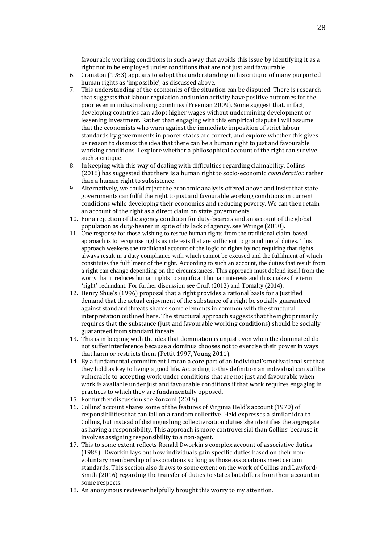favourable working conditions in such a way that avoids this issue by identifying it as a right not to be employed under conditions that are not just and favourable.

6. Cranston (1983) appears to adopt this understanding in his critique of many purported human rights as 'impossible', as discussed above.

 $\overline{a}$ 

- 7. This understanding of the economics of the situation can be disputed. There is research that suggests that labour regulation and union activity have positive outcomes for the poor even in industrialising countries (Freeman 2009). Some suggest that, in fact, developing countries can adopt higher wages without undermining development or lessening investment. Rather than engaging with this empirical dispute I will assume that the economists who warn against the immediate imposition of strict labour standards by governments in poorer states are correct, and explore whether this gives us reason to dismiss the idea that there can be a human right to just and favourable working conditions. I explore whether a philosophical account of the right can survive such a critique.
- 8. In keeping with this way of dealing with difficulties regarding claimability, Collins (2016) has suggested that there is a human right to socio-economic *consideration* rather than a human right to subsistence.
- 9. Alternatively, we could reject the economic analysis offered above and insist that state governments can fulfil the right to just and favourable working conditions in current conditions while developing their economies and reducing poverty. We can then retain an account of the right as a direct claim on state governments.
- 10. For a rejection of the agency condition for duty-bearers and an account of the global population as duty-bearer in spite of its lack of agency, see Wringe (2010).
- 11. One response for those wishing to rescue human rights from the traditional claim-based approach is to recognise rights as interests that are sufficient to ground moral duties. This approach weakens the traditional account of the logic of rights by not requiring that rights always result in a duty compliance with which cannot be excused and the fulfilment of which constitutes the fulfilment of the right. According to such an account, the duties that result from a right can change depending on the circumstances. This approach must defend itself from the worry that it reduces human rights to significant human interests and thus makes the term 'right' redundant. For further discussion see Cruft (2012) and Tomalty (2014).
- 12. Henry Shue's (1996) proposal that a right provides a rational basis for a justified demand that the actual enjoyment of the substance of a right be socially guaranteed against standard threats shares some elements in common with the structural interpretation outlined here. The structural approach suggests that the right primarily requires that the substance (just and favourable working conditions) should be socially guaranteed from standard threats.
- 13. This is in keeping with the idea that domination is unjust even when the dominated do not suffer interference because a dominus chooses not to exercise their power in ways that harm or restricts them (Pettit 1997, Young 2011).
- 14. By a fundamental commitment I mean a core part of an individual's motivational set that they hold as key to living a good life. According to this definition an individual can still be vulnerable to accepting work under conditions that are not just and favourable when work is available under just and favourable conditions if that work requires engaging in practices to which they are fundamentally opposed.
- 15. For further discussion see Ronzoni (2016).
- 16. Collins' account shares some of the features of Virginia Held's account (1970) of responsibilities that can fall on a random collective. Held expresses a similar idea to Collins, but instead of distinguishing collectivization duties she identifies the aggregate as having a responsibility. This approach is more controversial than Collins' because it involves assigning responsibility to a non-agent.
- 17. This to some extent reflects Ronald Dworkin's complex account of associative duties (1986). Dworkin lays out how individuals gain specific duties based on their nonvoluntary membership of associations so long as those associations meet certain standards. This section also draws to some extent on the work of Collins and Lawford-Smith (2016) regarding the transfer of duties to states but differs from their account in some respects.
- 18. An anonymous reviewer helpfully brought this worry to my attention.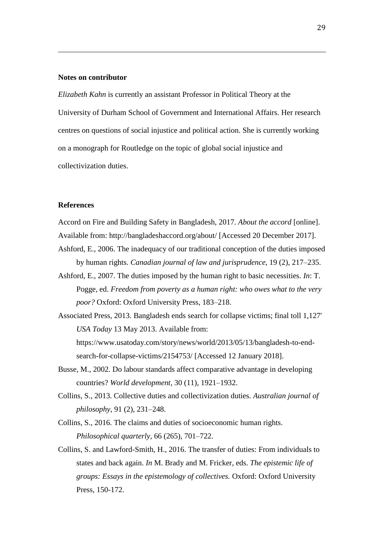# **Notes on contributor**

 $\overline{a}$ 

*Elizabeth Kahn* is currently an assistant Professor in Political Theory at the University of Durham School of Government and International Affairs. Her research centres on questions of social injustice and political action. She is currently working on a monograph for Routledge on the topic of global social injustice and collectivization duties.

#### **References**

Accord on Fire and Building Safety in Bangladesh, 2017. *About the accord* [online]. Available from: http://bangladeshaccord.org/about/ [Accessed 20 December 2017].

- Ashford, E., 2006. The inadequacy of our traditional conception of the duties imposed by human rights. *Canadian journal of law and jurisprudence*, 19 (2), 217–235.
- Ashford, E., 2007. The duties imposed by the human right to basic necessities. *In*: T. Pogge, ed. *Freedom from poverty as a human right: who owes what to the very poor?* Oxford: Oxford University Press, 183–218.
- Associated Press, 2013. Bangladesh ends search for collapse victims; final toll 1,127' *USA Today* 13 May 2013. Available from: https://www.usatoday.com/story/news/world/2013/05/13/bangladesh-to-endsearch-for-collapse-victims/2154753/ [Accessed 12 January 2018].
- Busse, M., 2002. Do labour standards affect comparative advantage in developing countries? *World development*, 30 (11), 1921–1932.
- Collins, S., 2013. Collective duties and collectivization duties. *Australian journal of philosophy*, 91 (2), 231–248.
- Collins, S., 2016. The claims and duties of socioeconomic human rights. *Philosophical quarterly*, 66 (265), 701–722.
- Collins, S. and Lawford-Smith, H., 2016. The transfer of duties: From individuals to states and back again. *In* M. Brady and M. Fricker, eds. *The epistemic life of groups: Essays in the epistemology of collectives.* Oxford: Oxford University Press, 150-172.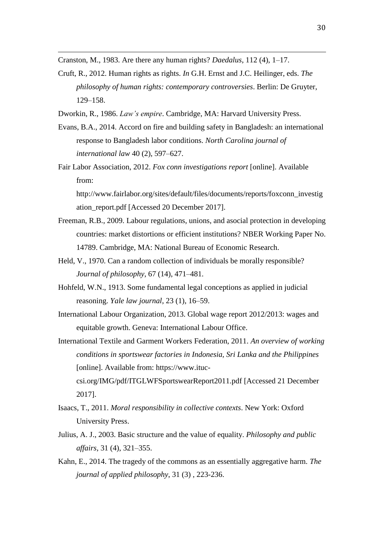Cranston, M., 1983. Are there any human rights? *Daedalus*, 112 (4), 1–17.

 $\overline{a}$ 

- Cruft, R., 2012. Human rights as rights. *In* G.H. Ernst and J.C. Heilinger, eds. *The philosophy of human rights: contemporary controversies*. Berlin: De Gruyter, 129–158.
- Dworkin, R., 1986. *Law's empire*. Cambridge, MA: Harvard University Press.
- Evans, B.A., 2014. Accord on fire and building safety in Bangladesh: an international response to Bangladesh labor conditions. *North Carolina journal of international law* 40 (2), 597–627.
- Fair Labor Association, 2012. *Fox conn investigations report* [online]. Available from:

http://www.fairlabor.org/sites/default/files/documents/reports/foxconn\_investig ation\_report.pdf [Accessed 20 December 2017].

- Freeman, R.B., 2009. Labour regulations, unions, and asocial protection in developing countries: market distortions or efficient institutions? NBER Working Paper No. 14789. Cambridge, MA: National Bureau of Economic Research.
- Held, V., 1970. Can a random collection of individuals be morally responsible? *Journal of philosophy*, 67 (14), 471–481.
- Hohfeld, W.N., 1913. Some fundamental legal conceptions as applied in judicial reasoning. *Yale law journal*, 23 (1), 16–59.
- International Labour Organization, 2013. Global wage report 2012/2013: wages and equitable growth. Geneva: International Labour Office.
- International Textile and Garment Workers Federation, 2011. *An overview of working conditions in sportswear factories in Indonesia, Sri Lanka and the Philippines* [online]. Available from: https://www.ituc-

csi.org/IMG/pdf/ITGLWFSportswearReport2011.pdf [Accessed 21 December 2017].

- Isaacs, T., 2011. *Moral responsibility in collective contexts*. New York: Oxford University Press.
- Julius, A. J., 2003. Basic structure and the value of equality. *Philosophy and public affairs*, 31 (4), 321–355.
- Kahn, E., 2014. The tragedy of the commons as an essentially aggregative harm. *The journal of applied philosophy*, 31 (3) , 223-236.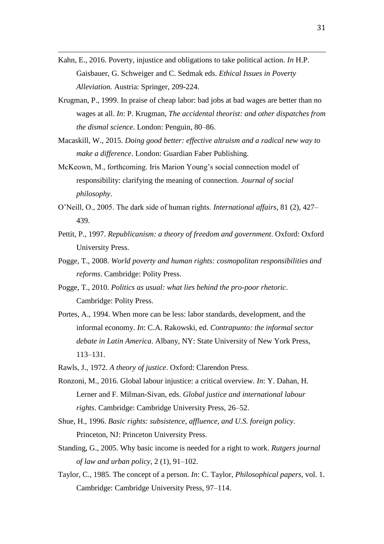Kahn, E., 2016. Poverty, injustice and obligations to take political action. *In* H.P. Gaisbauer, G. Schweiger and C. Sedmak eds. *Ethical Issues in Poverty Alleviation.* Austria: Springer, 209-224.

 $\overline{a}$ 

- Krugman, P., 1999. In praise of cheap labor: bad jobs at bad wages are better than no wages at all. *In*: P. Krugman, *The accidental theorist: and other dispatches from the dismal science*. London: Penguin, 80–86.
- Macaskill, W., 2015. *Doing good better: effective altruism and a radical new way to make a difference*. London: Guardian Faber Publishing.
- McKeown, M., forthcoming. Iris Marion Young's social connection model of responsibility: clarifying the meaning of connection. *Journal of social philosophy*.
- O'Neill, O., 2005. The dark side of human rights. *International affairs*, 81 (2), 427– 439.
- Pettit, P., 1997. *Republicanism: a theory of freedom and government*. Oxford: Oxford University Press.
- Pogge, T., 2008. *World poverty and human rights: cosmopolitan responsibilities and reforms*. Cambridge: Polity Press.
- Pogge, T., 2010. *Politics as usual: what lies behind the pro-poor rhetoric*. Cambridge: Polity Press.
- Portes, A., 1994. When more can be less: labor standards, development, and the informal economy. *In*: C.A. Rakowski, ed. *Contrapunto: the informal sector debate in Latin America*. Albany, NY: State University of New York Press, 113–131.
- Rawls, J., 1972. *A theory of justice*. Oxford: Clarendon Press.
- Ronzoni, M., 2016. Global labour injustice: a critical overview. *In*: Y. Dahan, H. Lerner and F. Milman-Sivan, eds. *Global justice and international labour rights*. Cambridge: Cambridge University Press, 26–52.
- Shue, H., 1996. *Basic rights: subsistence, affluence, and U.S. foreign policy*. Princeton, NJ: Princeton University Press.
- Standing, G., 2005. Why basic income is needed for a right to work. *Rutgers journal of law and urban policy*, 2 (1), 91–102.
- Taylor, C., 1985. The concept of a person. *In*: C. Taylor, *Philosophical papers*, vol. 1. Cambridge: Cambridge University Press, 97–114.